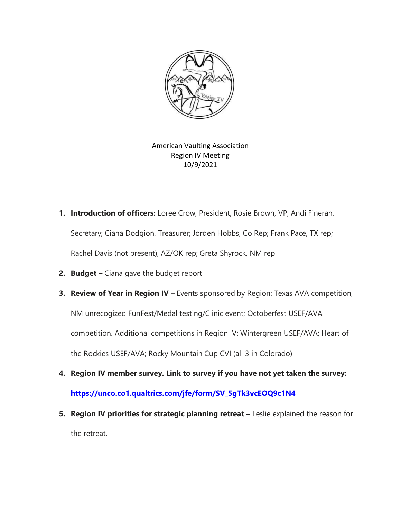

American Vaulting Association Region IV Meeting 10/9/2021

**1. Introduction of officers:** Loree Crow, President; Rosie Brown, VP; Andi Fineran,

Secretary; Ciana Dodgion, Treasurer; Jorden Hobbs, Co Rep; Frank Pace, TX rep;

Rachel Davis (not present), AZ/OK rep; Greta Shyrock, NM rep

- **2. Budget –** Ciana gave the budget report
- **3. Review of Year in Region IV** Events sponsored by Region: Texas AVA competition, NM unrecogized FunFest/Medal testing/Clinic event; Octoberfest USEF/AVA competition. Additional competitions in Region IV: Wintergreen USEF/AVA; Heart of the Rockies USEF/AVA; Rocky Mountain Cup CVI (all 3 in Colorado)
- **4. Region IV member survey. Link to survey if you have not yet taken the survey:**

**[https://unco.co1.qualtrics.com/jfe/form/SV\\_5gTk3vcEOQ9c1N4](https://nam02.safelinks.protection.outlook.com/?url=https%3A%2F%2Funco.co1.qualtrics.com%2Fjfe%2Fform%2FSV_5gTk3vcEOQ9c1N4&data=04%7C01%7Cloree.crow%40unco.edu%7C33896b45b4dc47d54d2f08d987b5e986%7Cb4dce27cd088445499652b59a23ea171%7C0%7C0%7C637690037946189896%7CUnknown%7CTWFpbGZsb3d8eyJWIjoiMC4wLjAwMDAiLCJQIjoiV2luMzIiLCJBTiI6Ik1haWwiLCJXVCI6Mn0%3D%7C2000&sdata=b95wgcbnvyx55qM3G332so2rDpLFts8kkLA6N6WERH0%3D&reserved=0)**

**5. Region IV priorities for strategic planning retreat –** Leslie explained the reason for the retreat.